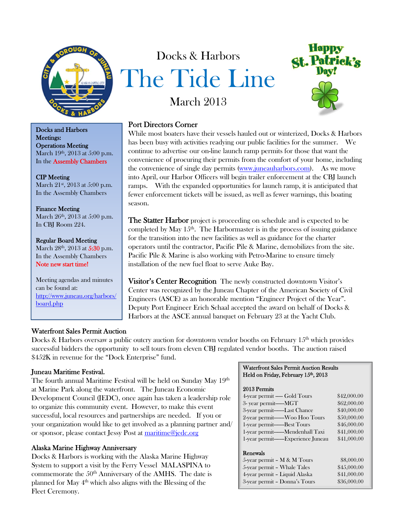

Docks and Harbors Meetings: Operations Meeting March 19<sup>th</sup>, 2013 at 5:00 p.m. In the Assembly Chambers

## CIP Meeting

March 21<sup>st</sup>, 2013 at 5:00 p.m. In the Assembly Chambers

#### Finance Meeting

March 26<sup>th</sup>, 2013 at 5:00 p.m. In CBJ Room 224.

Regular Board Meeting March 28<sup>th</sup>, 2013 at 5:30 p.m. In the Assembly Chambers Note new start time!

Meeting agendas and minutes can be found at: http://www.juneau.org/harbors/ board.php

# March 2013 Port Directors Corner

Docks & Harbors

The Tide Line

While most boaters have their vessels hauled out or winterized, Docks & Harbors has been busy with activities readying our public facilities for the summer. We continue to advertise our on-line launch ramp permits for those that want the convenience of procuring their permits from the comfort of your home, including the convenience of single day permits (www.juneauharbors.com). As we move into April, our Harbor Officers will begin trailer enforcement at the CBJ launch ramps. With the expanded opportunities for launch ramp, it is anticipated that fewer enforcement tickets will be issued, as well as fewer warnings, this boating season.

**The Statter Harbor** project is proceeding on schedule and is expected to be completed by May  $15<sup>th</sup>$ . The Harbormaster is in the process of issuing guidance for the transition into the new facilities as well as guidance for the charter operators until the contractor, Pacific Pile & Marine, demobilizes from the site. Pacific Pile & Marine is also working with Petro-Marine to ensure timely installation of the new fuel float to serve Auke Bay.

Visitor's Center Recognition The newly constructed downtown Visitor's Center was recognized by the Juneau Chapter of the American Society of Civil Engineers (ASCE) as an honorable mention "Engineer Project of the Year". Deputy Port Engineer Erich Schaal accepted the award on behalf of Docks & Harbors at the ASCE annual banquet on February 23 at the Yacht Club.

# Waterfront Sales Permit Auction

Docks & Harbors oversaw a public outcry auction for downtown vendor booths on February 15<sup>th</sup> which provides successful bidders the opportunity to sell tours from eleven CBJ regulated vendor booths. The auction raised \$452K in revenue for the "Dock Enterprise" fund.

# Juneau Maritime Festival.

The fourth annual Maritime Festival will be held on Sunday May 19th at Marine Park along the waterfront. The Juneau Economic Development Council (JEDC), once again has taken a leadership role to organize this community event. However, to make this event successful, local resources and partnerships are needed. If you or your organization would like to get involved as a planning partner and/ or sponsor, please contact Jessy Post at maritime@jedc.org

# Alaska Marine Highway Anniversary

Docks & Harbors is working with the Alaska Marine Highway System to support a visit by the Ferry Vessel MALASPINA to commemorate the 50<sup>th</sup> Anniversary of the AMHS. The date is planned for May 4th which also aligns with the Blessing of the Fleet Ceremony.

#### Waterfront Sales Permit Auction Results Held on Friday, February 15th, 2013

#### 2013 Permits

| 4-year permit — Gold Tours            | \$42,000.00 |
|---------------------------------------|-------------|
|                                       |             |
| 3- year permit------MGT               | \$62,000.00 |
| 3-year permit------Last Chance        | \$40,000.00 |
| 2-year permit------Woo Hoo Tours      | \$50,000.00 |
|                                       | \$46,000.00 |
| 1-year permit------Mendenhall Taxi    | \$41,000.00 |
| 1-year permit-------Experience Juneau | \$41,000.00 |
|                                       |             |
| Renewals                              |             |
| 5-year permit $- M & M$ Tours         | \$8,000.00  |
| 5-year permit - Whale Tales           | \$45,000.00 |
| 4-year permit - Liquid Alaska         | \$41,000.00 |

3-year permit – Donna's Tours \$36,000.00